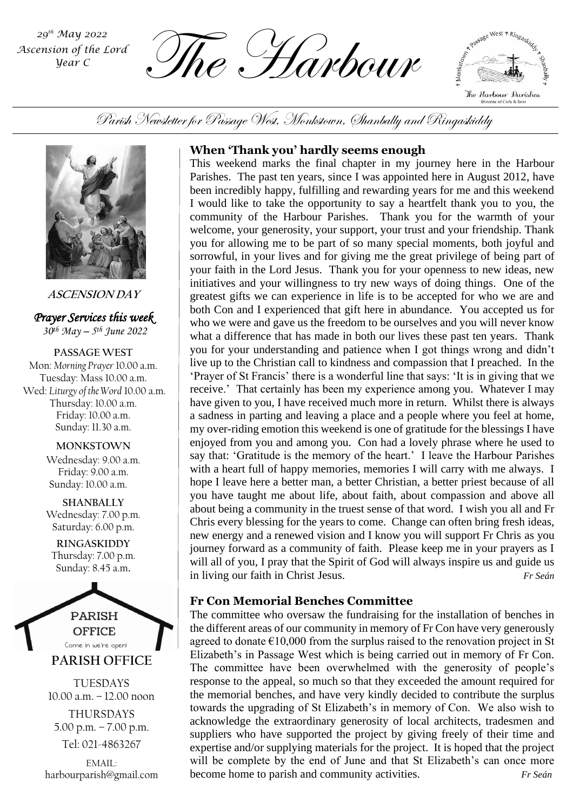*Ascension of the Lord Year C*

 $\overbrace{L_{\text{mean C}}^{\text{29$th } \text{May 2022}}$  and  $\overbrace{L_{\text{mean C}}^{\text{29$th } \text{day}}}$   $\overbrace{L_{\text{max}}^{\text{29$th } \text{day}}}$ 

x Passage West + Ringaskiddy The Harbour Darishes Diocese of Cork & Ross

Parish Newsletter for Passage West, Monkstown, Shanbally and Ringaskiddy



**ASCENSION DAY**

*Prayer Services this week 30th May – 5 th June 2022*

**PASSAGE WEST** Mon: *Morning Prayer* 10.00 a.m. Tuesday: Mass 10.00 a.m. Wed: *Liturgy of the Word* 10.00 a.m. Thursday: 10.00 a.m. Friday: 10.00 a.m. Sunday: 11.30 a.m.

#### **MONKSTOWN**

Wednesday: 9.00 a.m. Friday: 9.00 a.m. Sunday: 10.00 a.m.

**SHANBALLY** Wednesday: 7.00 p.m. Saturday: 6.00 p.m.

**RINGASKIDDY** Thursday: 7.00 p.m. Sunday: 8.45 a.m.



TUESDAYS 10.00 a.m. – 12.00 noon THURSDAYS 5.00 p.m. – 7.00 p.m. Tel: 021-4863267

EMAIL: harbourparish@gmail.com

# **When 'Thank you' hardly seems enough**

my over-riding emotion this weekend is one of gratitude for the blessings I have This weekend marks the final chapter in my journey here in the Harbour Parishes. The past ten years, since I was appointed here in August 2012, have been incredibly happy, fulfilling and rewarding years for me and this weekend I would like to take the opportunity to say a heartfelt thank you to you, the community of the Harbour Parishes. Thank you for the warmth of your welcome, your generosity, your support, your trust and your friendship. Thank you for allowing me to be part of so many special moments, both joyful and sorrowful, in your lives and for giving me the great privilege of being part of your faith in the Lord Jesus. Thank you for your openness to new ideas, new initiatives and your willingness to try new ways of doing things. One of the greatest gifts we can experience in life is to be accepted for who we are and both Con and I experienced that gift here in abundance. You accepted us for who we were and gave us the freedom to be ourselves and you will never know what a difference that has made in both our lives these past ten years. Thank you for your understanding and patience when I got things wrong and didn't live up to the Christian call to kindness and compassion that I preached. In the 'Prayer of St Francis' there is a wonderful line that says: 'It is in giving that we receive.' That certainly has been my experience among you. Whatever I may have given to you, I have received much more in return. Whilst there is always a sadness in parting and leaving a place and a people where you feel at home, enjoyed from you and among you. Con had a lovely phrase where he used to say that: 'Gratitude is the memory of the heart.' I leave the Harbour Parishes with a heart full of happy memories, memories I will carry with me always. I hope I leave here a better man, a better Christian, a better priest because of all you have taught me about life, about faith, about compassion and above all about being a community in the truest sense of that word. I wish you all and Fr Chris every blessing for the years to come. Change can often bring fresh ideas, new energy and a renewed vision and I know you will support Fr Chris as you journey forward as a community of faith. Please keep me in your prayers as I will all of you, I pray that the Spirit of God will always inspire us and guide us in living our faith in Christ Jesus. *Fr Seán*

# **Fr Con Memorial Benches Committee**

The committee who oversaw the fundraising for the installation of benches in the different areas of our community in memory of Fr Con have very generously agreed to donate  $\epsilon$ 10,000 from the surplus raised to the renovation project in St Elizabeth's in Passage West which is being carried out in memory of Fr Con. The committee have been overwhelmed with the generosity of people's response to the appeal, so much so that they exceeded the amount required for the memorial benches, and have very kindly decided to contribute the surplus towards the upgrading of St Elizabeth's in memory of Con. We also wish to acknowledge the extraordinary generosity of local architects, tradesmen and suppliers who have supported the project by giving freely of their time and expertise and/or supplying materials for the project. It is hoped that the project will be complete by the end of June and that St Elizabeth's can once more become home to parish and community activities. *Fr Seán*